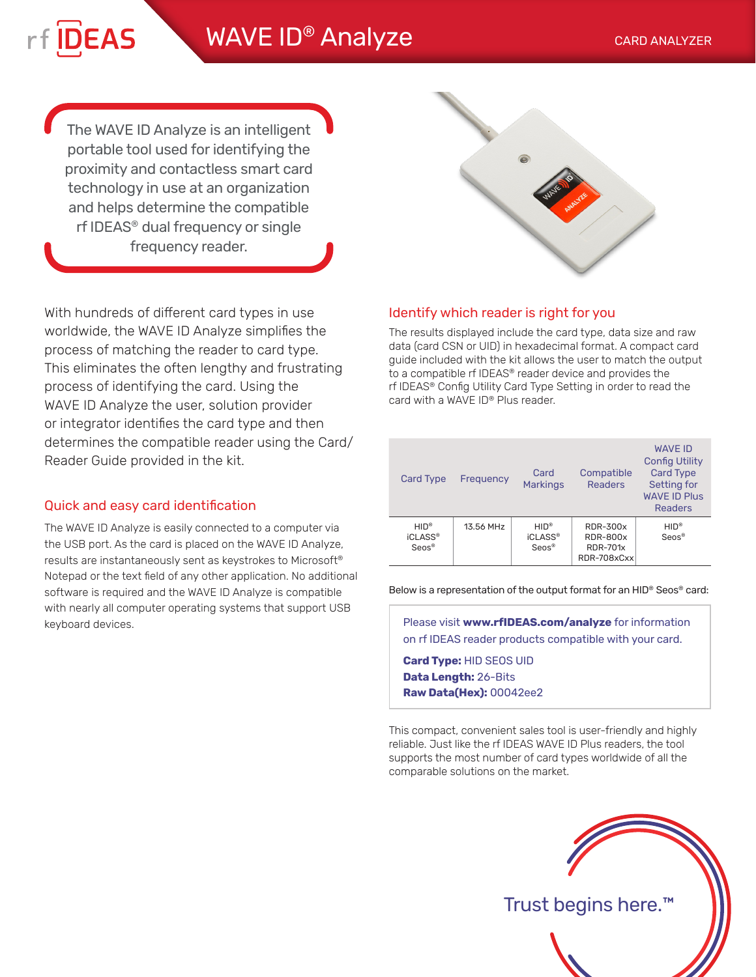## WAVE ID<sup>®</sup> Analyze CARD ANALYZER

The WAVE ID Analyze is an intelligent portable tool used for identifying the proximity and contactless smart card technology in use at an organization and helps determine the compatible rf IDEAS® dual frequency or single frequency reader.

**DEAS** 

With hundreds of different card types in use worldwide, the WAVE ID Analyze simplifies the process of matching the reader to card type. This eliminates the often lengthy and frustrating process of identifying the card. Using the WAVE ID Analyze the user, solution provider or integrator identifies the card type and then determines the compatible reader using the Card/ Reader Guide provided in the kit.

## Quick and easy card identification

The WAVE ID Analyze is easily connected to a computer via the USB port. As the card is placed on the WAVE ID Analyze, results are instantaneously sent as keystrokes to Microsoft® Notepad or the text field of any other application. No additional software is required and the WAVE ID Analyze is compatible with nearly all computer operating systems that support USB keyboard devices.



## Identify which reader is right for you

The results displayed include the card type, data size and raw data (card CSN or UID) in hexadecimal format. A compact card guide included with the kit allows the user to match the output to a compatible rf IDEAS® reader device and provides the rf IDEAS® Config Utility Card Type Setting in order to read the card with a WAVE ID® Plus reader.

| <b>Card Type</b>                            | Frequency | Card<br><b>Markings</b>                | Compatible<br><b>Readers</b>                                         | <b>WAVE ID</b><br><b>Config Utility</b><br><b>Card Type</b><br>Setting for<br><b>WAVE ID Plus</b><br><b>Readers</b> |
|---------------------------------------------|-----------|----------------------------------------|----------------------------------------------------------------------|---------------------------------------------------------------------------------------------------------------------|
| $HID^*$<br>iCLASS <sup>®</sup><br>$Seros^*$ | 13.56 MHz | $HID^*$<br><b>iCLASS®</b><br>$Seros^*$ | <b>RDR-300x</b><br><b>RDR-800x</b><br><b>RDR-701x</b><br>RDR-708xCxx | $HID^*$<br>Seos <sup>®</sup>                                                                                        |

Below is a representation of the output format for an HID® Seos® card:

Please visit **www.rfIDEAS.com/analyze** for information on rf IDEAS reader products compatible with your card.

**Card Type:** HID SEOS UID **Data Length:** 26-Bits **Raw Data(Hex):** 00042ee2

This compact, convenient sales tool is user-friendly and highly reliable. Just like the rf IDEAS WAVE ID Plus readers, the tool supports the most number of card types worldwide of all the comparable solutions on the market.